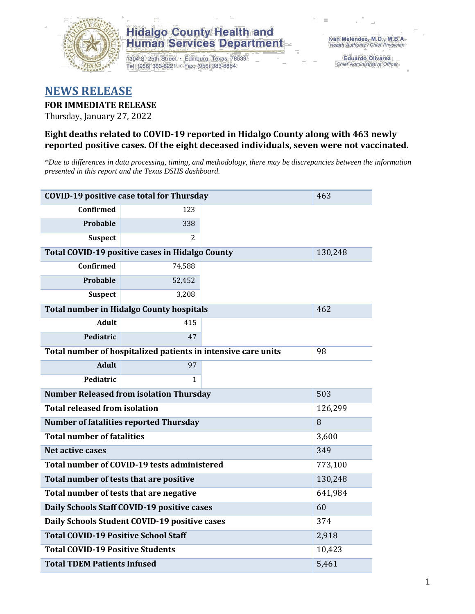

1304 S. 25th Street · Edinburg, Texas 78539 Tel: (956) 383-6221 · Fax: (956) 383-8864

**Eduardo Olivarez** Chief Administrative Officer

#### **NEWS RELEASE**

**FOR IMMEDIATE RELEASE**

Thursday, January 27, 2022

#### **Eight deaths related to COVID-19 reported in Hidalgo County along with 463 newly reported positive cases. Of the eight deceased individuals, seven were not vaccinated.**

*\*Due to differences in data processing, timing, and methodology, there may be discrepancies between the information presented in this report and the Texas DSHS dashboard.*

| <b>COVID-19 positive case total for Thursday</b><br>463 |                                                               |         |         |  |  |  |
|---------------------------------------------------------|---------------------------------------------------------------|---------|---------|--|--|--|
| <b>Confirmed</b>                                        | 123                                                           |         |         |  |  |  |
| <b>Probable</b>                                         | 338                                                           |         |         |  |  |  |
| <b>Suspect</b>                                          | 2                                                             |         |         |  |  |  |
| Total COVID-19 positive cases in Hidalgo County         |                                                               | 130,248 |         |  |  |  |
| <b>Confirmed</b>                                        | 74,588                                                        |         |         |  |  |  |
| Probable                                                | 52,452                                                        |         |         |  |  |  |
| <b>Suspect</b>                                          | 3,208                                                         |         |         |  |  |  |
| <b>Total number in Hidalgo County hospitals</b>         | 462                                                           |         |         |  |  |  |
| <b>Adult</b>                                            | 415                                                           |         |         |  |  |  |
| Pediatric                                               | 47                                                            |         |         |  |  |  |
|                                                         | Total number of hospitalized patients in intensive care units | 98      |         |  |  |  |
| <b>Adult</b>                                            | 97                                                            |         |         |  |  |  |
| Pediatric                                               | 1                                                             |         |         |  |  |  |
| <b>Number Released from isolation Thursday</b><br>503   |                                                               |         |         |  |  |  |
| <b>Total released from isolation</b><br>126,299         |                                                               |         |         |  |  |  |
|                                                         | <b>Number of fatalities reported Thursday</b><br>8            |         |         |  |  |  |
| <b>Total number of fatalities</b>                       |                                                               |         | 3,600   |  |  |  |
| Net active cases                                        |                                                               |         | 349     |  |  |  |
|                                                         | Total number of COVID-19 tests administered                   |         | 773,100 |  |  |  |
| Total number of tests that are positive                 |                                                               |         | 130,248 |  |  |  |
| Total number of tests that are negative                 |                                                               |         | 641,984 |  |  |  |
|                                                         | Daily Schools Staff COVID-19 positive cases                   |         | 60      |  |  |  |
|                                                         | Daily Schools Student COVID-19 positive cases                 |         | 374     |  |  |  |
| <b>Total COVID-19 Positive School Staff</b>             |                                                               |         | 2,918   |  |  |  |
| <b>Total COVID-19 Positive Students</b>                 |                                                               |         | 10,423  |  |  |  |
| <b>Total TDEM Patients Infused</b><br>5,461             |                                                               |         |         |  |  |  |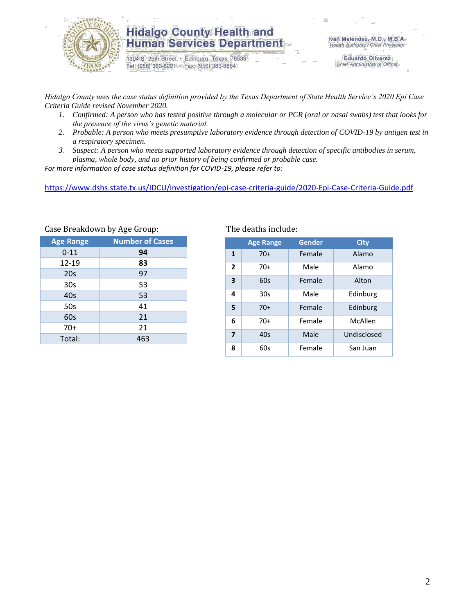

1304 S. 25th Street · Edinburg, Texas 78539 Tel: (956) 383-6221 · Fax: (956) 383-8864

**Eduardo Olivarez** Chief Administrative Officer

*Hidalgo County uses the case status definition provided by the Texas Department of State Health Service's 2020 Epi Case Criteria Guide revised November 2020.*

- *1. Confirmed: A person who has tested positive through a molecular or PCR (oral or nasal swabs) test that looks for the presence of the virus's genetic material.*
- *2. Probable: A person who meets presumptive laboratory evidence through detection of COVID-19 by antigen test in a respiratory specimen.*
- *3. Suspect: A person who meets supported laboratory evidence through detection of specific antibodies in serum, plasma, whole body, and no prior history of being confirmed or probable case.*

*For more information of case status definition for COVID-19, please refer to:*

<https://www.dshs.state.tx.us/IDCU/investigation/epi-case-criteria-guide/2020-Epi-Case-Criteria-Guide.pdf>

| $\frac{1}{2}$    |                        |  |  |  |  |  |
|------------------|------------------------|--|--|--|--|--|
| <b>Age Range</b> | <b>Number of Cases</b> |  |  |  |  |  |
| $0 - 11$         | 94                     |  |  |  |  |  |
| 12-19            | 83                     |  |  |  |  |  |
| 20s              | 97                     |  |  |  |  |  |
| 30s              | 53                     |  |  |  |  |  |
| 40s              | 53                     |  |  |  |  |  |
| 50s              | 41                     |  |  |  |  |  |
| 60s              | 21                     |  |  |  |  |  |
| $70+$            | 21                     |  |  |  |  |  |
| Total:           | 463                    |  |  |  |  |  |
|                  |                        |  |  |  |  |  |

Case Breakdown by Age Group: The deaths include:

|                | <b>Age Range</b> | Gender | <b>City</b> |
|----------------|------------------|--------|-------------|
| $\mathbf{1}$   | $70+$            | Female | Alamo       |
| $\overline{2}$ | $70+$            | Male   | Alamo       |
| 3              | 60s              | Female | Alton       |
| 4              | 30s              | Male   | Edinburg    |
| 5              | $70+$            | Female | Edinburg    |
| 6              | $70+$            | Female | McAllen     |
| 7              | 40s              | Male   | Undisclosed |
| 8              | 60s              | Female | San Juan    |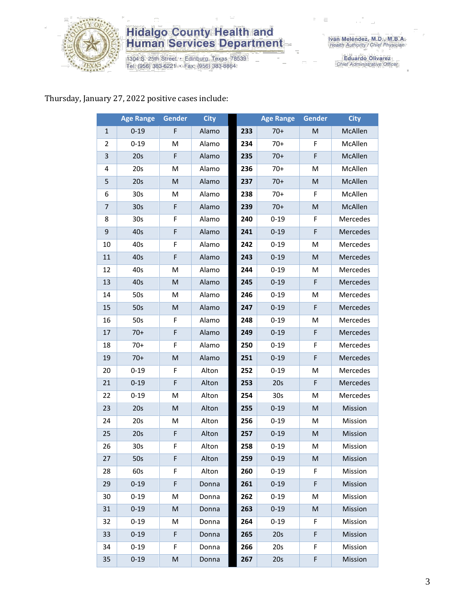

1304 S. 25th Street • Edinburg, Texas 78539<br>Tel: (956) 383-6221 • Fax: (956) 383-8864

Iván Meléndez, M.D., M.B.A.<br>Health Authority / Chief Physician

Eduardo Olivarez<br>Chief Administrative Officer

#### Thursday, January 27, 2022 positive cases include:

|                | <b>Age Range</b> | Gender | <b>City</b> |     | <b>Age Range</b> | Gender | <b>City</b> |
|----------------|------------------|--------|-------------|-----|------------------|--------|-------------|
| 1              | $0 - 19$         | F      | Alamo       | 233 | $70+$            | M      | McAllen     |
| 2              | $0 - 19$         | M      | Alamo       | 234 | $70+$            | F      | McAllen     |
| 3              | 20s              | F      | Alamo       | 235 | $70+$            | F      | McAllen     |
| 4              | 20s              | M      | Alamo       | 236 | $70+$            | М      | McAllen     |
| 5              | 20s              | M      | Alamo       | 237 | $70+$            | M      | McAllen     |
| 6              | 30 <sub>s</sub>  | M      | Alamo       | 238 | $70+$            | F      | McAllen     |
| $\overline{7}$ | 30 <sub>s</sub>  | F      | Alamo       | 239 | $70+$            | M      | McAllen     |
| 8              | 30 <sub>s</sub>  | F      | Alamo       | 240 | $0 - 19$         | F      | Mercedes    |
| 9              | 40s              | F      | Alamo       | 241 | $0 - 19$         | F      | Mercedes    |
| 10             | 40s              | F      | Alamo       | 242 | $0 - 19$         | M      | Mercedes    |
| 11             | 40s              | F      | Alamo       | 243 | $0 - 19$         | M      | Mercedes    |
| 12             | 40s              | M      | Alamo       | 244 | $0 - 19$         | M      | Mercedes    |
| 13             | 40s              | M      | Alamo       | 245 | $0 - 19$         | F      | Mercedes    |
| 14             | 50s              | M      | Alamo       | 246 | $0 - 19$         | M      | Mercedes    |
| 15             | 50s              | M      | Alamo       | 247 | $0 - 19$         | F      | Mercedes    |
| 16             | 50s              | F      | Alamo       | 248 | $0 - 19$         | M      | Mercedes    |
| 17             | $70+$            | F      | Alamo       | 249 | $0 - 19$         | F      | Mercedes    |
| 18             | $70+$            | F      | Alamo       | 250 | $0 - 19$         | F      | Mercedes    |
| 19             | $70+$            | M      | Alamo       | 251 | $0 - 19$         | F      | Mercedes    |
| 20             | $0 - 19$         | F      | Alton       | 252 | $0 - 19$         | M      | Mercedes    |
| 21             | $0 - 19$         | F      | Alton       | 253 | 20s              | F      | Mercedes    |
| 22             | $0 - 19$         | M      | Alton       | 254 | 30 <sub>s</sub>  | M      | Mercedes    |
| 23             | 20s              | M      | Alton       | 255 | $0 - 19$         | M      | Mission     |
| 24             | 20s              | M      | Alton       | 256 | $0 - 19$         | M      | Mission     |
| 25             | 20s              | F      | Alton       | 257 | $0 - 19$         | M      | Mission     |
| 26             | 30s              | F      | Alton       | 258 | $0 - 19$         | M      | Mission     |
| 27             | 50s              | F      | Alton       | 259 | $0 - 19$         | M      | Mission     |
| 28             | 60s              | F.     | Alton       | 260 | $0 - 19$         | F.     | Mission     |
| 29             | $0 - 19$         | F      | Donna       | 261 | $0 - 19$         | F      | Mission     |
| 30             | $0 - 19$         | M      | Donna       | 262 | $0 - 19$         | M      | Mission     |
| 31             | $0 - 19$         | M      | Donna       | 263 | $0 - 19$         | M      | Mission     |
| 32             | $0 - 19$         | М      | Donna       | 264 | $0 - 19$         | F      | Mission     |
| 33             | $0 - 19$         | F      | Donna       | 265 | 20s              | F      | Mission     |
| 34             | $0 - 19$         | F      | Donna       | 266 | 20s              | F      | Mission     |
| 35             | $0 - 19$         | M      | Donna       | 267 | 20s              | F      | Mission     |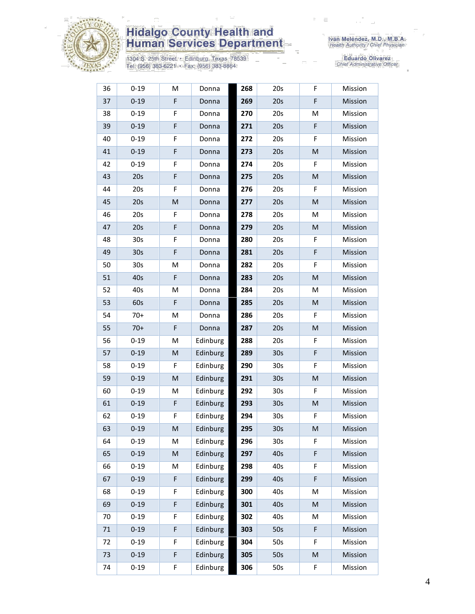

1304 S. 25th Street • Edinburg, Texas 78539<br>Tel: (956) 383-6221 • Fax: (956) 383-8864

| 20s<br>20s<br>20s<br>20s<br>20s<br>20s | F<br>M<br>F<br>F<br>M | Mission<br>Mission<br>Mission<br>Mission |
|----------------------------------------|-----------------------|------------------------------------------|
|                                        |                       |                                          |
|                                        |                       |                                          |
|                                        |                       |                                          |
|                                        |                       |                                          |
|                                        |                       | Mission                                  |
|                                        | F                     | Mission                                  |
|                                        | M                     | Mission                                  |
| 20s                                    | F                     | Mission                                  |
| 20s                                    | M                     | Mission                                  |
| 20s                                    | М                     | Mission                                  |
| 20s                                    | M                     | Mission                                  |
| 20s                                    | F                     | Mission                                  |
| 20s                                    | F                     | Mission                                  |
| 20s                                    | F                     | Mission                                  |
| 20s                                    | M                     | Mission                                  |
| 20s                                    | M                     | Mission                                  |
| 20s                                    | M                     | Mission                                  |
| 20s                                    | F                     | Mission                                  |
| 20s                                    | M                     | Mission                                  |
| 20s                                    | F                     | Mission                                  |
| 30 <sub>s</sub>                        | F                     | Mission                                  |
| 30 <sub>s</sub>                        | F                     | Mission                                  |
| 30 <sub>s</sub>                        | M                     | Mission                                  |
| 30 <sub>s</sub>                        | F                     | Mission                                  |
| 30 <sub>s</sub>                        | ${\sf M}$             | Mission                                  |
| 30 <sub>s</sub>                        | F                     | Mission                                  |
| 30 <sub>s</sub>                        | M                     | Mission                                  |
| 30s                                    | F                     | Mission                                  |
| 40s                                    | F                     | Mission                                  |
| 40s                                    | F                     | Mission                                  |
| 40s                                    | F                     | Mission                                  |
| 40s                                    | M                     | Mission                                  |
| 40s                                    | M                     | Mission                                  |
| 40s                                    | M                     | Mission                                  |
| 50s                                    | F                     | Mission                                  |
| 50s                                    | F                     | Mission                                  |
| 50s                                    | M                     | Mission                                  |
| 50s                                    | F                     | Mission                                  |
|                                        | 20s                   |                                          |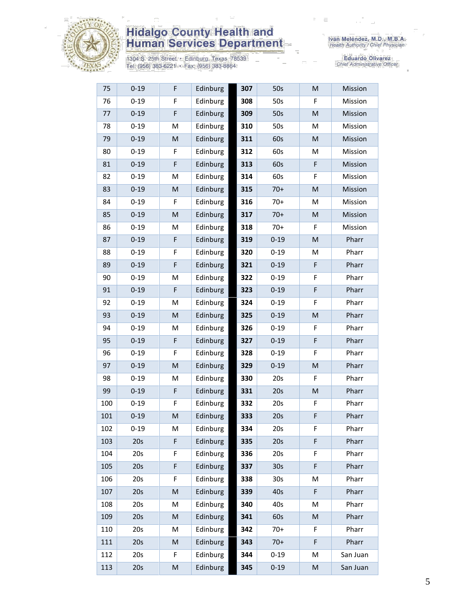

1304 S. 25th Street • Edinburg, Texas 78539<br>Tel: (956) 383-6221 • Fax: (956) 383-8864

| 75  | $0 - 19$ | F                                                                                                          | Edinburg | 307 | 50s             | M                                                                                                          | Mission  |
|-----|----------|------------------------------------------------------------------------------------------------------------|----------|-----|-----------------|------------------------------------------------------------------------------------------------------------|----------|
| 76  | $0 - 19$ | F                                                                                                          | Edinburg | 308 | 50s             | F                                                                                                          | Mission  |
| 77  | $0 - 19$ | $\mathsf F$                                                                                                | Edinburg | 309 | 50s             | M                                                                                                          | Mission  |
| 78  | $0 - 19$ | M                                                                                                          | Edinburg | 310 | 50s             | M                                                                                                          | Mission  |
| 79  | $0 - 19$ | ${\sf M}$                                                                                                  | Edinburg | 311 | 60s             | M                                                                                                          | Mission  |
| 80  | $0 - 19$ | F                                                                                                          | Edinburg | 312 | 60s             | M                                                                                                          | Mission  |
| 81  | $0 - 19$ | $\mathsf F$                                                                                                | Edinburg | 313 | 60s             | F                                                                                                          | Mission  |
| 82  | $0 - 19$ | M                                                                                                          | Edinburg | 314 | 60s             | F                                                                                                          | Mission  |
| 83  | $0 - 19$ | $\mathsf{M}% _{T}=\mathsf{M}_{T}\!\left( a,b\right) ,\ \mathsf{M}_{T}=\mathsf{M}_{T}\!\left( a,b\right) ,$ | Edinburg | 315 | $70+$           | M                                                                                                          | Mission  |
| 84  | $0 - 19$ | F                                                                                                          | Edinburg | 316 | $70+$           | M                                                                                                          | Mission  |
| 85  | $0 - 19$ | ${\sf M}$                                                                                                  | Edinburg | 317 | $70+$           | M                                                                                                          | Mission  |
| 86  | $0 - 19$ | M                                                                                                          | Edinburg | 318 | $70+$           | F                                                                                                          | Mission  |
| 87  | $0 - 19$ | F                                                                                                          | Edinburg | 319 | $0 - 19$        | M                                                                                                          | Pharr    |
| 88  | $0 - 19$ | F                                                                                                          | Edinburg | 320 | $0 - 19$        | M                                                                                                          | Pharr    |
| 89  | $0 - 19$ | F                                                                                                          | Edinburg | 321 | $0 - 19$        | F                                                                                                          | Pharr    |
| 90  | $0 - 19$ | M                                                                                                          | Edinburg | 322 | $0 - 19$        | F                                                                                                          | Pharr    |
| 91  | $0 - 19$ | $\mathsf F$                                                                                                | Edinburg | 323 | $0 - 19$        | F                                                                                                          | Pharr    |
| 92  | $0 - 19$ | M                                                                                                          | Edinburg | 324 | $0 - 19$        | F                                                                                                          | Pharr    |
| 93  | $0 - 19$ | ${\sf M}$                                                                                                  | Edinburg | 325 | $0 - 19$        | M                                                                                                          | Pharr    |
| 94  | $0 - 19$ | M                                                                                                          | Edinburg | 326 | $0 - 19$        | F                                                                                                          | Pharr    |
| 95  | $0 - 19$ | F                                                                                                          | Edinburg | 327 | $0 - 19$        | F                                                                                                          | Pharr    |
| 96  | $0 - 19$ | F                                                                                                          | Edinburg | 328 | $0 - 19$        | F                                                                                                          | Pharr    |
| 97  | $0 - 19$ | $\mathsf{M}% _{T}=\mathsf{M}_{T}\!\left( a,b\right) ,\ \mathsf{M}_{T}=\mathsf{M}_{T}\!\left( a,b\right) ,$ | Edinburg | 329 | $0 - 19$        | $\mathsf{M}% _{T}=\mathsf{M}_{T}\!\left( a,b\right) ,\ \mathsf{M}_{T}=\mathsf{M}_{T}\!\left( a,b\right) ,$ | Pharr    |
| 98  | $0 - 19$ | M                                                                                                          | Edinburg | 330 | 20s             | F                                                                                                          | Pharr    |
| 99  | $0 - 19$ | F                                                                                                          | Edinburg | 331 | 20s             | M                                                                                                          | Pharr    |
| 100 | $0 - 19$ | F                                                                                                          | Edinburg | 332 | 20s             | F                                                                                                          | Pharr    |
| 101 | $0 - 19$ | M                                                                                                          | Edinburg | 333 | 20s             | F                                                                                                          | Pharr    |
| 102 | $0 - 19$ | M                                                                                                          | Edinburg | 334 | 20s             | F                                                                                                          | Pharr    |
| 103 | 20s      | F                                                                                                          | Edinburg | 335 | 20s             | F                                                                                                          | Pharr    |
| 104 | 20s      | F                                                                                                          | Edinburg | 336 | 20s             | F                                                                                                          | Pharr    |
| 105 | 20s      | F                                                                                                          | Edinburg | 337 | 30 <sub>s</sub> | F                                                                                                          | Pharr    |
| 106 | 20s      | F                                                                                                          | Edinburg | 338 | 30 <sub>s</sub> | М                                                                                                          | Pharr    |
| 107 | 20s      | ${\sf M}$                                                                                                  | Edinburg | 339 | 40s             | F                                                                                                          | Pharr    |
| 108 | 20s      | M                                                                                                          | Edinburg | 340 | 40s             | M                                                                                                          | Pharr    |
| 109 | 20s      | ${\sf M}$                                                                                                  | Edinburg | 341 | 60s             | M                                                                                                          | Pharr    |
| 110 | 20s      | M                                                                                                          | Edinburg | 342 | $70+$           | F                                                                                                          | Pharr    |
| 111 | 20s      | M                                                                                                          | Edinburg | 343 | $70+$           | F                                                                                                          | Pharr    |
| 112 | 20s      | F                                                                                                          | Edinburg | 344 | $0 - 19$        | M                                                                                                          | San Juan |
| 113 | 20s      | M                                                                                                          | Edinburg | 345 | $0 - 19$        | M                                                                                                          | San Juan |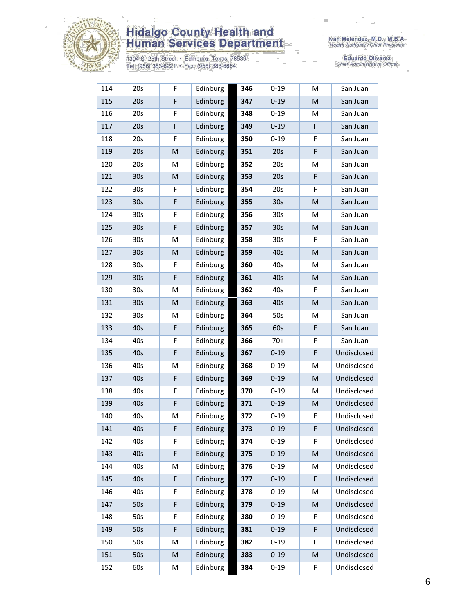

1304 S. 25th Street • Edinburg, Texas 78539<br>Tel: (956) 383-6221 • Fax: (956) 383-8864

| 114 | 20s             | F                                                                                                          | Edinburg | 346 | $0 - 19$        | M | San Juan    |
|-----|-----------------|------------------------------------------------------------------------------------------------------------|----------|-----|-----------------|---|-------------|
| 115 | 20s             | F                                                                                                          | Edinburg | 347 | $0 - 19$        | M | San Juan    |
| 116 | 20s             | F                                                                                                          | Edinburg | 348 | $0 - 19$        | M | San Juan    |
| 117 | 20s             | F                                                                                                          | Edinburg | 349 | $0 - 19$        | F | San Juan    |
| 118 | 20s             | F                                                                                                          | Edinburg | 350 | $0 - 19$        | F | San Juan    |
| 119 | 20s             | M                                                                                                          | Edinburg | 351 | 20s             | F | San Juan    |
| 120 | 20s             | M                                                                                                          | Edinburg | 352 | 20s             | M | San Juan    |
| 121 | 30 <sub>s</sub> | ${\sf M}$                                                                                                  | Edinburg | 353 | 20s             | F | San Juan    |
| 122 | 30s             | F                                                                                                          | Edinburg | 354 | 20s             | F | San Juan    |
| 123 | 30 <sub>s</sub> | F                                                                                                          | Edinburg | 355 | 30 <sub>s</sub> | M | San Juan    |
| 124 | 30 <sub>s</sub> | F                                                                                                          | Edinburg | 356 | 30 <sub>s</sub> | M | San Juan    |
| 125 | 30 <sub>s</sub> | F                                                                                                          | Edinburg | 357 | 30 <sub>s</sub> | M | San Juan    |
| 126 | 30 <sub>s</sub> | M                                                                                                          | Edinburg | 358 | 30 <sub>s</sub> | F | San Juan    |
| 127 | 30 <sub>s</sub> | M                                                                                                          | Edinburg | 359 | 40s             | M | San Juan    |
| 128 | 30 <sub>s</sub> | F                                                                                                          | Edinburg | 360 | 40s             | M | San Juan    |
| 129 | 30 <sub>s</sub> | F                                                                                                          | Edinburg | 361 | 40s             | M | San Juan    |
| 130 | 30 <sub>s</sub> | M                                                                                                          | Edinburg | 362 | 40s             | F | San Juan    |
| 131 | 30 <sub>s</sub> | M                                                                                                          | Edinburg | 363 | 40s             | M | San Juan    |
| 132 | 30 <sub>s</sub> | M                                                                                                          | Edinburg | 364 | 50s             | M | San Juan    |
| 133 | 40s             | F                                                                                                          | Edinburg | 365 | 60s             | F | San Juan    |
| 134 | 40s             | F                                                                                                          | Edinburg | 366 | $70+$           | F | San Juan    |
| 135 | 40s             | F                                                                                                          | Edinburg | 367 | $0 - 19$        | F | Undisclosed |
| 136 | 40s             | M                                                                                                          | Edinburg | 368 | $0 - 19$        | M | Undisclosed |
| 137 | 40s             | F                                                                                                          | Edinburg | 369 | $0 - 19$        | M | Undisclosed |
| 138 | 40s             | F                                                                                                          | Edinburg | 370 | $0 - 19$        | M | Undisclosed |
| 139 | 40s             | F                                                                                                          | Edinburg | 371 | $0 - 19$        | M | Undisclosed |
| 140 | 40s             | M                                                                                                          | Edinburg | 372 | $0 - 19$        | F | Undisclosed |
| 141 | 40s             | F                                                                                                          | Edinburg | 373 | $0 - 19$        | F | Undisclosed |
| 142 | 40s             | F                                                                                                          | Edinburg | 374 | $0 - 19$        | F | Undisclosed |
| 143 | 40s             | F                                                                                                          | Edinburg | 375 | $0 - 19$        | M | Undisclosed |
| 144 | 40s             | M                                                                                                          | Edinburg | 376 | $0 - 19$        | M | Undisclosed |
| 145 | 40s             | F                                                                                                          | Edinburg | 377 | $0 - 19$        | F | Undisclosed |
| 146 | 40s             | F                                                                                                          | Edinburg | 378 | $0 - 19$        | M | Undisclosed |
| 147 | 50s             | F                                                                                                          | Edinburg | 379 | $0 - 19$        | M | Undisclosed |
| 148 | 50s             | F                                                                                                          | Edinburg | 380 | $0 - 19$        | F | Undisclosed |
| 149 | 50s             | F                                                                                                          | Edinburg | 381 | $0 - 19$        | F | Undisclosed |
| 150 | 50s             | M                                                                                                          | Edinburg | 382 | $0 - 19$        | F | Undisclosed |
| 151 | 50s             | $\mathsf{M}% _{T}=\mathsf{M}_{T}\!\left( a,b\right) ,\ \mathsf{M}_{T}=\mathsf{M}_{T}\!\left( a,b\right) ,$ | Edinburg | 383 | $0 - 19$        | M | Undisclosed |
| 152 | 60s             | M                                                                                                          | Edinburg | 384 | $0 - 19$        | F | Undisclosed |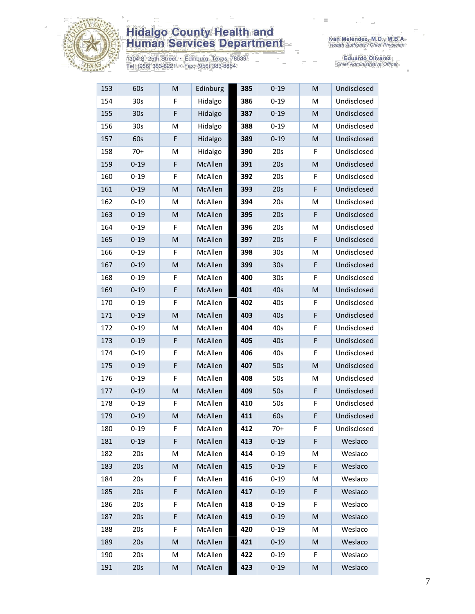

1304 S. 25th Street • Edinburg, Texas 78539<br>Tel: (956) 383-6221 • Fax: (956) 383-8864

Iván Meléndez, M.D., M.B.A.<br>Health Authority / Chief Physician

| 153 | 60s             | M                                                                                                          | Edinburg | 385 | $0 - 19$        | M | Undisclosed |
|-----|-----------------|------------------------------------------------------------------------------------------------------------|----------|-----|-----------------|---|-------------|
| 154 | 30 <sub>s</sub> | F                                                                                                          | Hidalgo  | 386 | $0 - 19$        | M | Undisclosed |
| 155 | 30 <sub>s</sub> | $\mathsf F$                                                                                                | Hidalgo  | 387 | $0 - 19$        | M | Undisclosed |
| 156 | 30s             | M                                                                                                          | Hidalgo  | 388 | $0 - 19$        | M | Undisclosed |
| 157 | 60s             | F                                                                                                          | Hidalgo  | 389 | $0 - 19$        | M | Undisclosed |
| 158 | $70+$           | M                                                                                                          | Hidalgo  | 390 | 20s             | F | Undisclosed |
| 159 | $0 - 19$        | F                                                                                                          | McAllen  | 391 | 20s             | M | Undisclosed |
| 160 | $0 - 19$        | $\mathsf F$                                                                                                | McAllen  | 392 | 20s             | F | Undisclosed |
| 161 | $0 - 19$        | M                                                                                                          | McAllen  | 393 | 20s             | F | Undisclosed |
| 162 | $0 - 19$        | M                                                                                                          | McAllen  | 394 | 20s             | M | Undisclosed |
| 163 | $0 - 19$        | M                                                                                                          | McAllen  | 395 | 20s             | F | Undisclosed |
| 164 | $0 - 19$        | $\mathsf F$                                                                                                | McAllen  | 396 | 20s             | M | Undisclosed |
| 165 | $0 - 19$        | M                                                                                                          | McAllen  | 397 | 20s             | F | Undisclosed |
| 166 | $0 - 19$        | F                                                                                                          | McAllen  | 398 | 30 <sub>s</sub> | M | Undisclosed |
| 167 | $0 - 19$        | M                                                                                                          | McAllen  | 399 | 30s             | F | Undisclosed |
| 168 | $0 - 19$        | F                                                                                                          | McAllen  | 400 | 30s             | F | Undisclosed |
| 169 | $0 - 19$        | $\mathsf F$                                                                                                | McAllen  | 401 | 40s             | M | Undisclosed |
| 170 | $0 - 19$        | F                                                                                                          | McAllen  | 402 | 40s             | F | Undisclosed |
| 171 | $0 - 19$        | M                                                                                                          | McAllen  | 403 | 40s             | F | Undisclosed |
| 172 | $0 - 19$        | M                                                                                                          | McAllen  | 404 | 40s             | F | Undisclosed |
| 173 | $0 - 19$        | F                                                                                                          | McAllen  | 405 | 40s             | F | Undisclosed |
| 174 | $0 - 19$        | F                                                                                                          | McAllen  | 406 | 40s             | F | Undisclosed |
| 175 | $0 - 19$        | F                                                                                                          | McAllen  | 407 | 50s             | M | Undisclosed |
| 176 | $0 - 19$        | F                                                                                                          | McAllen  | 408 | 50s             | M | Undisclosed |
| 177 | $0 - 19$        | M                                                                                                          | McAllen  | 409 | 50s             | F | Undisclosed |
| 178 | $0 - 19$        | F                                                                                                          | McAllen  | 410 | 50s             | F | Undisclosed |
| 179 | $0 - 19$        | M                                                                                                          | McAllen  | 411 | 60s             | F | Undisclosed |
| 180 | $0 - 19$        | F                                                                                                          | McAllen  | 412 | $70+$           | F | Undisclosed |
| 181 | $0 - 19$        | F                                                                                                          | McAllen  | 413 | $0 - 19$        | F | Weslaco     |
| 182 | 20s             | M                                                                                                          | McAllen  | 414 | $0 - 19$        | M | Weslaco     |
| 183 | 20s             | M                                                                                                          | McAllen  | 415 | $0 - 19$        | F | Weslaco     |
| 184 | 20s             | F                                                                                                          | McAllen  | 416 | $0 - 19$        | M | Weslaco     |
| 185 | 20s             | F                                                                                                          | McAllen  | 417 | $0 - 19$        | F | Weslaco     |
| 186 | 20s             | F                                                                                                          | McAllen  | 418 | $0 - 19$        | F | Weslaco     |
| 187 | 20s             | F                                                                                                          | McAllen  | 419 | $0 - 19$        | M | Weslaco     |
| 188 | 20s             | F                                                                                                          | McAllen  | 420 | $0 - 19$        | M | Weslaco     |
| 189 | 20s             | ${\sf M}$                                                                                                  | McAllen  | 421 | $0 - 19$        | M | Weslaco     |
| 190 | 20s             | M                                                                                                          | McAllen  | 422 | $0 - 19$        | F | Weslaco     |
| 191 | 20s             | $\mathsf{M}% _{T}=\mathsf{M}_{T}\!\left( a,b\right) ,\ \mathsf{M}_{T}=\mathsf{M}_{T}\!\left( a,b\right) ,$ | McAllen  | 423 | $0 - 19$        | M | Weslaco     |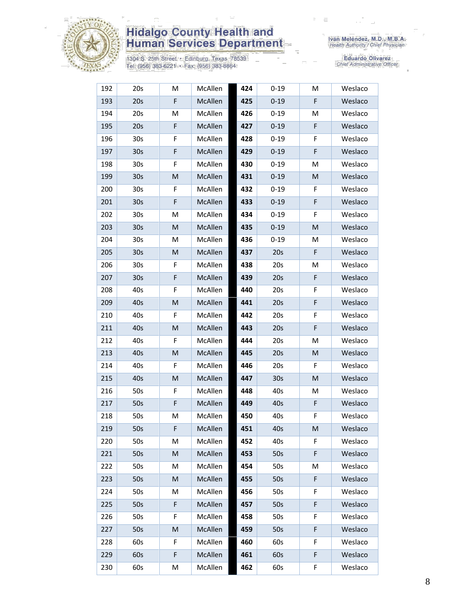

1304 S. 25th Street • Edinburg, Texas 78539<br>Tel: (956) 383-6221 • Fax: (956) 383-8864

Iván Meléndez, M.D., M.B.A.<br>Health Authority / Chief Physician

| 192 | 20s             | M         | McAllen | 424 | $0 - 19$        | M | Weslaco |
|-----|-----------------|-----------|---------|-----|-----------------|---|---------|
| 193 | 20s             | F         | McAllen | 425 | $0 - 19$        | F | Weslaco |
| 194 | 20s             | M         | McAllen | 426 | $0 - 19$        | м | Weslaco |
| 195 | 20s             | F         | McAllen | 427 | $0 - 19$        | F | Weslaco |
| 196 | 30 <sub>s</sub> | F         | McAllen | 428 | $0 - 19$        | F | Weslaco |
| 197 | 30 <sub>s</sub> | F         | McAllen | 429 | $0 - 19$        | F | Weslaco |
| 198 | 30 <sub>s</sub> | F         | McAllen | 430 | $0 - 19$        | Μ | Weslaco |
| 199 | 30 <sub>s</sub> | ${\sf M}$ | McAllen | 431 | $0 - 19$        | M | Weslaco |
| 200 | 30 <sub>s</sub> | F         | McAllen | 432 | $0 - 19$        | F | Weslaco |
| 201 | 30 <sub>s</sub> | F         | McAllen | 433 | $0 - 19$        | F | Weslaco |
| 202 | 30 <sub>s</sub> | M         | McAllen | 434 | $0 - 19$        | F | Weslaco |
| 203 | 30 <sub>s</sub> | ${\sf M}$ | McAllen | 435 | $0 - 19$        | M | Weslaco |
| 204 | 30s             | М         | McAllen | 436 | $0 - 19$        | Μ | Weslaco |
| 205 | 30 <sub>s</sub> | M         | McAllen | 437 | 20s             | F | Weslaco |
| 206 | 30 <sub>s</sub> | F         | McAllen | 438 | 20s             | M | Weslaco |
| 207 | 30 <sub>s</sub> | F         | McAllen | 439 | 20s             | F | Weslaco |
| 208 | 40s             | F         | McAllen | 440 | 20s             | F | Weslaco |
| 209 | 40s             | M         | McAllen | 441 | 20s             | F | Weslaco |
| 210 | 40s             | F         | McAllen | 442 | 20s             | F | Weslaco |
| 211 | 40s             | M         | McAllen | 443 | 20s             | F | Weslaco |
| 212 | 40s             | F         | McAllen | 444 | 20s             | M | Weslaco |
| 213 | 40s             | M         | McAllen | 445 | 20s             | M | Weslaco |
| 214 | 40s             | F         | McAllen | 446 | 20s             | F | Weslaco |
| 215 | 40s             | M         | McAllen | 447 | 30 <sub>s</sub> | M | Weslaco |
| 216 | 50s             | F         | McAllen | 448 | 40s             | м | Weslaco |
| 217 | 50s             | F         | McAllen | 449 | 40s             | F | Weslaco |
| 218 | 50s             | M         | McAllen | 450 | 40s             | F | Weslaco |
| 219 | 50s             | F         | McAllen | 451 | 40s             | M | Weslaco |
| 220 | 50s             | M         | McAllen | 452 | 40s             | F | Weslaco |
| 221 | 50s             | M         | McAllen | 453 | 50s             | F | Weslaco |
| 222 | 50s             | M         | McAllen | 454 | 50s             | Μ | Weslaco |
| 223 | 50s             | M         | McAllen | 455 | 50s             | F | Weslaco |
| 224 | 50s             | M         | McAllen | 456 | 50s             | F | Weslaco |
| 225 | 50s             | F         | McAllen | 457 | 50s             | F | Weslaco |
| 226 | 50s             | F         | McAllen | 458 | 50s             | F | Weslaco |
| 227 | 50s             | M         | McAllen | 459 | 50s             | F | Weslaco |
| 228 | 60s             | F.        | McAllen | 460 | 60s             | F | Weslaco |
| 229 | 60s             | F         | McAllen | 461 | 60s             | F | Weslaco |
| 230 | 60s             | М         | McAllen | 462 | 60s             | F | Weslaco |